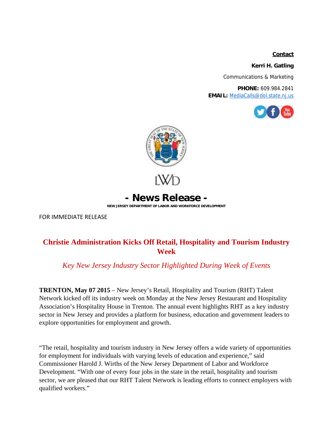## **Contact**

**Kerri H. Gatling** 

Communications & Marketing

**PHONE:** 609.984.2841 **EMAIL:** MediaCalls@dol.state.nj.us





## **- News Release -**

**NEW JERSEY DEPARTMENT OF LABOR AND WORKFORCE DEVELOPMENT**

FOR IMMEDIATE RELEASE

## **Christie Administration Kicks Off Retail, Hospitality and Tourism Industry Week**

## *Key New Jersey Industry Sector Highlighted During Week of Events*

**TRENTON, May 07 2015** – New Jersey's Retail, Hospitality and Tourism (RHT) Talent Network kicked off its industry week on Monday at the New Jersey Restaurant and Hospitality Association's Hospitality House in Trenton. The annual event highlights RHT as a key industry sector in New Jersey and provides a platform for business, education and government leaders to explore opportunities for employment and growth.

"The retail, hospitality and tourism industry in New Jersey offers a wide variety of opportunities for employment for individuals with varying levels of education and experience," said Commissioner Harold J. Wirths of the New Jersey Department of Labor and Workforce Development. "With one of every four jobs in the state in the retail, hospitality and tourism sector, we are pleased that our RHT Talent Network is leading efforts to connect employers with qualified workers."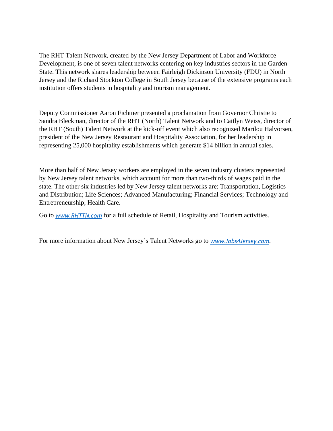The RHT Talent Network, created by the New Jersey Department of Labor and Workforce Development, is one of seven talent networks centering on key industries sectors in the Garden State. This network shares leadership between Fairleigh Dickinson University (FDU) in North Jersey and the Richard Stockton College in South Jersey because of the extensive programs each institution offers students in hospitality and tourism management.

Deputy Commissioner Aaron Fichtner presented a proclamation from Governor Christie to Sandra Bleckman, director of the RHT (North) Talent Network and to Caitlyn Weiss, director of the RHT (South) Talent Network at the kick-off event which also recognized Marilou Halvorsen, president of the New Jersey Restaurant and Hospitality Association, for her leadership in representing 25,000 hospitality establishments which generate \$14 billion in annual sales.

More than half of New Jersey workers are employed in the seven industry clusters represented by New Jersey talent networks, which account for more than two-thirds of wages paid in the state. The other six industries led by New Jersey talent networks are: Transportation, Logistics and Distribution; Life Sciences; Advanced Manufacturing; Financial Services; Technology and Entrepreneurship; Health Care.

Go to *www.RHTTN.com* for a full schedule of Retail, Hospitality and Tourism activities.

For more information about New Jersey's Talent Networks go to *www.Jobs4Jersey.com.*